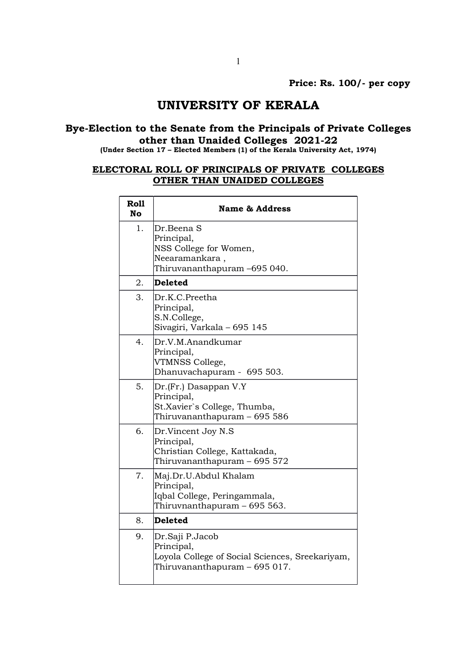## UNIVERSITY OF KERALA

## Bye-Election to the Senate from the Principals of Private Colleges other than Unaided Colleges 2021-22

(Under Section 17 – Elected Members (1) of the Kerala University Act, 1974)

## ELECTORAL ROLL OF PRINCIPALS OF PRIVATE COLLEGES OTHER THAN UNAIDED COLLEGES

| Roll<br>No | <b>Name &amp; Address</b>                                                                                         |
|------------|-------------------------------------------------------------------------------------------------------------------|
| 1.         | Dr.Beena S<br>Principal,<br>NSS College for Women,<br>Neearamankara,<br>Thiruvananthapuram -695 040.              |
| 2.         | <b>Deleted</b>                                                                                                    |
| 3.         | Dr.K.C.Preetha<br>Principal,<br>S.N.College,<br>Sivagiri, Varkala - 695 145                                       |
| 4.         | Dr.V.M.Anandkumar<br>Principal,<br>VTMNSS College,<br>Dhanuvachapuram - 695 503.                                  |
| 5.         | Dr.(Fr.) Dasappan V.Y<br>Principal,<br>St.Xavier`s College, Thumba,<br>Thiruvananthapuram – 695 586               |
| 6.         | Dr.Vincent Joy N.S<br>Principal,<br>Christian College, Kattakada,<br>Thiruvananthapuram – 695 572                 |
| 7.         | Maj.Dr.U.Abdul Khalam<br>Principal,<br>Iqbal College, Peringammala,<br>Thiruvnanthapuram – 695 563.               |
| 8.         | <b>Deleted</b>                                                                                                    |
| 9.         | Dr.Saji P.Jacob<br>Principal,<br>Loyola College of Social Sciences, Sreekariyam,<br>Thiruvananthapuram – 695 017. |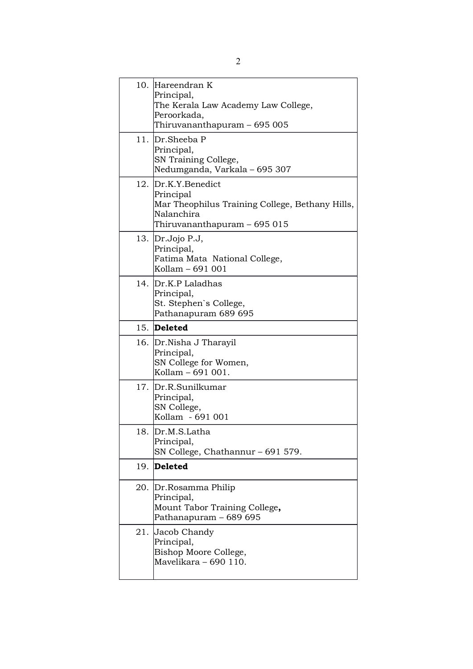| 10. Hareendran K<br>Principal,<br>The Kerala Law Academy Law College,<br>Peroorkada,<br>Thiruvananthapuram – 695 005              |
|-----------------------------------------------------------------------------------------------------------------------------------|
| 11. Dr.Sheeba P<br>Principal,<br>SN Training College,<br>Nedumganda, Varkala - 695 307                                            |
| 12. Dr.K.Y.Benedict<br>Principal<br>Mar Theophilus Training College, Bethany Hills,<br>Nalanchira<br>Thiruvananthapuram – 695 015 |
| 13. Dr.Jojo P.J,<br>Principal,<br>Fatima Mata National College,<br>Kollam - 691 001                                               |
| 14. Dr.K.P Laladhas<br>Principal,<br>St. Stephen's College,<br>Pathanapuram 689 695                                               |
| 15. Deleted                                                                                                                       |
| 16. Dr. Nisha J Tharayil<br>Principal,<br>SN College for Women,<br>Kollam - 691 001.                                              |
| 17. Dr.R.Sunilkumar<br>Principal,                                                                                                 |
| SN College,<br>Kollam - 691 001                                                                                                   |
| 18.  Dr.M.S.Latha<br>Principal,<br>SN College, Chathannur - 691 579.                                                              |
| 19. Deleted                                                                                                                       |
| 20. Dr.Rosamma Philip<br>Principal,<br>Mount Tabor Training College,<br>Pathanapuram - 689 695                                    |